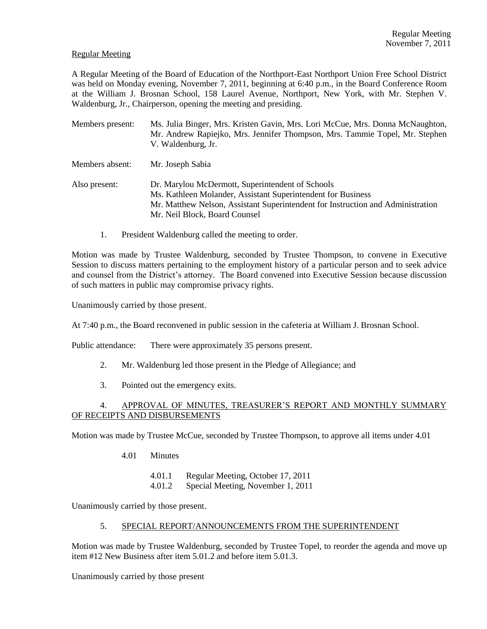### Regular Meeting

A Regular Meeting of the Board of Education of the Northport-East Northport Union Free School District was held on Monday evening, November 7, 2011, beginning at 6:40 p.m., in the Board Conference Room at the William J. Brosnan School, 158 Laurel Avenue, Northport, New York, with Mr. Stephen V. Waldenburg, Jr., Chairperson, opening the meeting and presiding.

- Members present: Ms. Julia Binger, Mrs. Kristen Gavin, Mrs. Lori McCue, Mrs. Donna McNaughton, Mr. Andrew Rapiejko, Mrs. Jennifer Thompson, Mrs. Tammie Topel, Mr. Stephen V. Waldenburg, Jr. Members absent: Mr. Joseph Sabia Also present: Dr. Marylou McDermott, Superintendent of Schools Ms. Kathleen Molander, Assistant Superintendent for Business
	- Mr. Matthew Nelson, Assistant Superintendent for Instruction and Administration Mr. Neil Block, Board Counsel
	- 1. President Waldenburg called the meeting to order.

Motion was made by Trustee Waldenburg, seconded by Trustee Thompson, to convene in Executive Session to discuss matters pertaining to the employment history of a particular person and to seek advice and counsel from the District's attorney. The Board convened into Executive Session because discussion of such matters in public may compromise privacy rights.

Unanimously carried by those present.

At 7:40 p.m., the Board reconvened in public session in the cafeteria at William J. Brosnan School.

Public attendance: There were approximately 35 persons present.

- 2. Mr. Waldenburg led those present in the Pledge of Allegiance; and
- 3. Pointed out the emergency exits.

## 4. APPROVAL OF MINUTES, TREASURER'S REPORT AND MONTHLY SUMMARY OF RECEIPTS AND DISBURSEMENTS

Motion was made by Trustee McCue, seconded by Trustee Thompson, to approve all items under 4.01

- 4.01 Minutes
	- 4.01.1 Regular Meeting, October 17, 2011
	- 4.01.2 Special Meeting, November 1, 2011

Unanimously carried by those present.

5. SPECIAL REPORT/ANNOUNCEMENTS FROM THE SUPERINTENDENT

Motion was made by Trustee Waldenburg, seconded by Trustee Topel, to reorder the agenda and move up item #12 New Business after item 5.01.2 and before item 5.01.3.

Unanimously carried by those present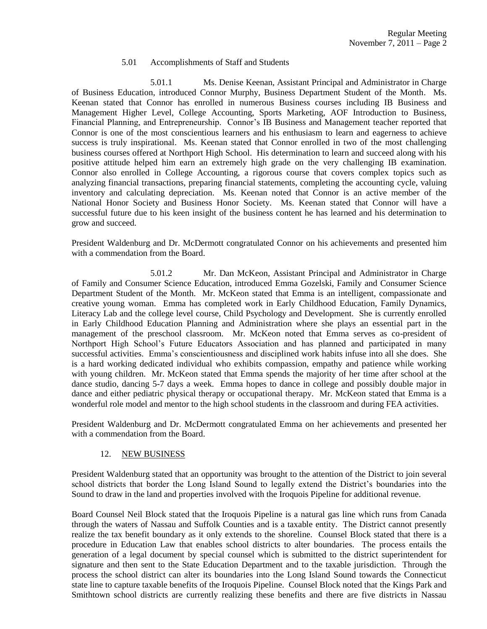### 5.01 Accomplishments of Staff and Students

5.01.1 Ms. Denise Keenan, Assistant Principal and Administrator in Charge of Business Education, introduced Connor Murphy, Business Department Student of the Month. Ms. Keenan stated that Connor has enrolled in numerous Business courses including IB Business and Management Higher Level, College Accounting, Sports Marketing, AOF Introduction to Business, Financial Planning, and Entrepreneurship. Connor's IB Business and Management teacher reported that Connor is one of the most conscientious learners and his enthusiasm to learn and eagerness to achieve success is truly inspirational. Ms. Keenan stated that Connor enrolled in two of the most challenging business courses offered at Northport High School. His determination to learn and succeed along with his positive attitude helped him earn an extremely high grade on the very challenging IB examination. Connor also enrolled in College Accounting, a rigorous course that covers complex topics such as analyzing financial transactions, preparing financial statements, completing the accounting cycle, valuing inventory and calculating depreciation. Ms. Keenan noted that Connor is an active member of the National Honor Society and Business Honor Society. Ms. Keenan stated that Connor will have a successful future due to his keen insight of the business content he has learned and his determination to grow and succeed.

President Waldenburg and Dr. McDermott congratulated Connor on his achievements and presented him with a commendation from the Board.

5.01.2 Mr. Dan McKeon, Assistant Principal and Administrator in Charge of Family and Consumer Science Education, introduced Emma Gozelski, Family and Consumer Science Department Student of the Month. Mr. McKeon stated that Emma is an intelligent, compassionate and creative young woman. Emma has completed work in Early Childhood Education, Family Dynamics, Literacy Lab and the college level course, Child Psychology and Development. She is currently enrolled in Early Childhood Education Planning and Administration where she plays an essential part in the management of the preschool classroom. Mr. McKeon noted that Emma serves as co-president of Northport High School's Future Educators Association and has planned and participated in many successful activities. Emma's conscientiousness and disciplined work habits infuse into all she does. She is a hard working dedicated individual who exhibits compassion, empathy and patience while working with young children. Mr. McKeon stated that Emma spends the majority of her time after school at the dance studio, dancing 5-7 days a week. Emma hopes to dance in college and possibly double major in dance and either pediatric physical therapy or occupational therapy. Mr. McKeon stated that Emma is a wonderful role model and mentor to the high school students in the classroom and during FEA activities.

President Waldenburg and Dr. McDermott congratulated Emma on her achievements and presented her with a commendation from the Board.

## 12. NEW BUSINESS

President Waldenburg stated that an opportunity was brought to the attention of the District to join several school districts that border the Long Island Sound to legally extend the District's boundaries into the Sound to draw in the land and properties involved with the Iroquois Pipeline for additional revenue.

Board Counsel Neil Block stated that the Iroquois Pipeline is a natural gas line which runs from Canada through the waters of Nassau and Suffolk Counties and is a taxable entity. The District cannot presently realize the tax benefit boundary as it only extends to the shoreline. Counsel Block stated that there is a procedure in Education Law that enables school districts to alter boundaries. The process entails the generation of a legal document by special counsel which is submitted to the district superintendent for signature and then sent to the State Education Department and to the taxable jurisdiction. Through the process the school district can alter its boundaries into the Long Island Sound towards the Connecticut state line to capture taxable benefits of the Iroquois Pipeline. Counsel Block noted that the Kings Park and Smithtown school districts are currently realizing these benefits and there are five districts in Nassau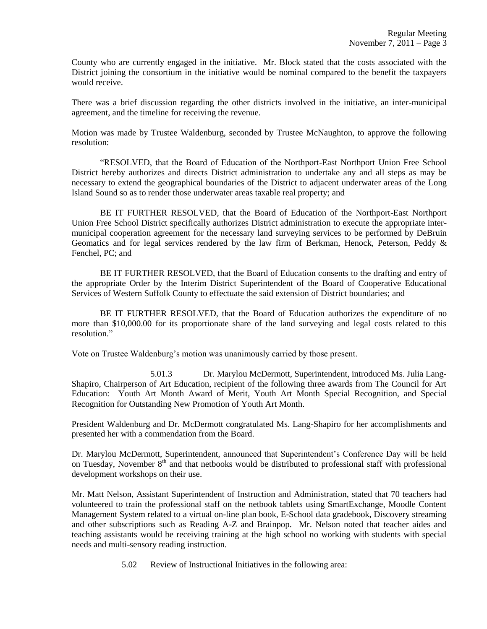County who are currently engaged in the initiative. Mr. Block stated that the costs associated with the District joining the consortium in the initiative would be nominal compared to the benefit the taxpayers would receive.

There was a brief discussion regarding the other districts involved in the initiative, an inter-municipal agreement, and the timeline for receiving the revenue.

Motion was made by Trustee Waldenburg, seconded by Trustee McNaughton, to approve the following resolution:

"RESOLVED, that the Board of Education of the Northport-East Northport Union Free School District hereby authorizes and directs District administration to undertake any and all steps as may be necessary to extend the geographical boundaries of the District to adjacent underwater areas of the Long Island Sound so as to render those underwater areas taxable real property; and

BE IT FURTHER RESOLVED, that the Board of Education of the Northport-East Northport Union Free School District specifically authorizes District administration to execute the appropriate intermunicipal cooperation agreement for the necessary land surveying services to be performed by DeBruin Geomatics and for legal services rendered by the law firm of Berkman, Henock, Peterson, Peddy & Fenchel, PC; and

BE IT FURTHER RESOLVED, that the Board of Education consents to the drafting and entry of the appropriate Order by the Interim District Superintendent of the Board of Cooperative Educational Services of Western Suffolk County to effectuate the said extension of District boundaries; and

BE IT FURTHER RESOLVED, that the Board of Education authorizes the expenditure of no more than \$10,000.00 for its proportionate share of the land surveying and legal costs related to this resolution."

Vote on Trustee Waldenburg's motion was unanimously carried by those present.

5.01.3 Dr. Marylou McDermott, Superintendent, introduced Ms. Julia Lang-Shapiro, Chairperson of Art Education, recipient of the following three awards from The Council for Art Education: Youth Art Month Award of Merit, Youth Art Month Special Recognition, and Special Recognition for Outstanding New Promotion of Youth Art Month.

President Waldenburg and Dr. McDermott congratulated Ms. Lang-Shapiro for her accomplishments and presented her with a commendation from the Board.

Dr. Marylou McDermott, Superintendent, announced that Superintendent's Conference Day will be held on Tuesday, November 8<sup>th</sup> and that netbooks would be distributed to professional staff with professional development workshops on their use.

Mr. Matt Nelson, Assistant Superintendent of Instruction and Administration, stated that 70 teachers had volunteered to train the professional staff on the netbook tablets using SmartExchange, Moodle Content Management System related to a virtual on-line plan book, E-School data gradebook, Discovery streaming and other subscriptions such as Reading A-Z and Brainpop. Mr. Nelson noted that teacher aides and teaching assistants would be receiving training at the high school no working with students with special needs and multi-sensory reading instruction.

5.02 Review of Instructional Initiatives in the following area: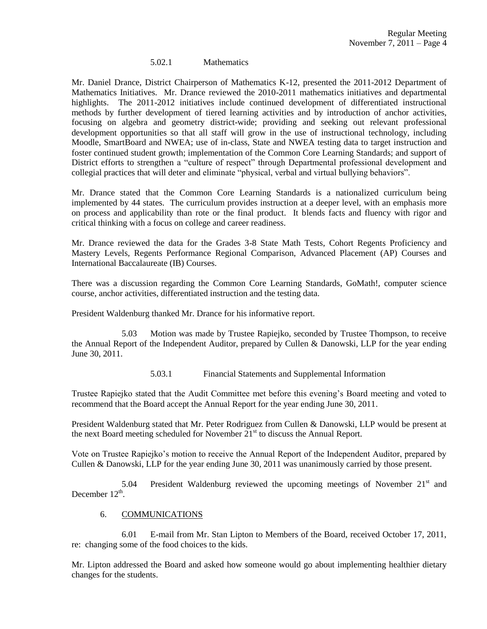#### 5.02.1 Mathematics

Mr. Daniel Drance, District Chairperson of Mathematics K-12, presented the 2011-2012 Department of Mathematics Initiatives. Mr. Drance reviewed the 2010-2011 mathematics initiatives and departmental highlights. The 2011-2012 initiatives include continued development of differentiated instructional methods by further development of tiered learning activities and by introduction of anchor activities, focusing on algebra and geometry district-wide; providing and seeking out relevant professional development opportunities so that all staff will grow in the use of instructional technology, including Moodle, SmartBoard and NWEA; use of in-class, State and NWEA testing data to target instruction and foster continued student growth; implementation of the Common Core Learning Standards; and support of District efforts to strengthen a "culture of respect" through Departmental professional development and collegial practices that will deter and eliminate "physical, verbal and virtual bullying behaviors".

Mr. Drance stated that the Common Core Learning Standards is a nationalized curriculum being implemented by 44 states. The curriculum provides instruction at a deeper level, with an emphasis more on process and applicability than rote or the final product. It blends facts and fluency with rigor and critical thinking with a focus on college and career readiness.

Mr. Drance reviewed the data for the Grades 3-8 State Math Tests, Cohort Regents Proficiency and Mastery Levels, Regents Performance Regional Comparison, Advanced Placement (AP) Courses and International Baccalaureate (IB) Courses.

There was a discussion regarding the Common Core Learning Standards, GoMath!, computer science course, anchor activities, differentiated instruction and the testing data.

President Waldenburg thanked Mr. Drance for his informative report.

5.03 Motion was made by Trustee Rapiejko, seconded by Trustee Thompson, to receive the Annual Report of the Independent Auditor, prepared by Cullen & Danowski, LLP for the year ending June 30, 2011.

5.03.1 Financial Statements and Supplemental Information

Trustee Rapiejko stated that the Audit Committee met before this evening's Board meeting and voted to recommend that the Board accept the Annual Report for the year ending June 30, 2011.

President Waldenburg stated that Mr. Peter Rodriguez from Cullen & Danowski, LLP would be present at the next Board meeting scheduled for November  $21<sup>st</sup>$  to discuss the Annual Report.

Vote on Trustee Rapiejko's motion to receive the Annual Report of the Independent Auditor, prepared by Cullen & Danowski, LLP for the year ending June 30, 2011 was unanimously carried by those present.

5.04 President Waldenburg reviewed the upcoming meetings of November  $21<sup>st</sup>$  and December  $12^{th}$ .

#### 6. COMMUNICATIONS

6.01 E-mail from Mr. Stan Lipton to Members of the Board, received October 17, 2011, re: changing some of the food choices to the kids.

Mr. Lipton addressed the Board and asked how someone would go about implementing healthier dietary changes for the students.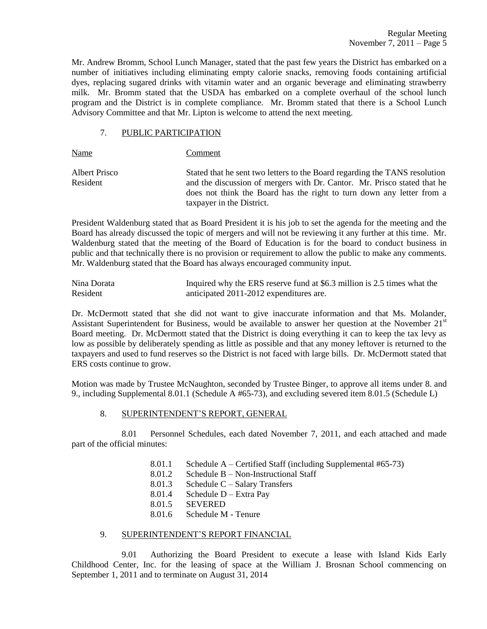Mr. Andrew Bromm, School Lunch Manager, stated that the past few years the District has embarked on a number of initiatives including eliminating empty calorie snacks, removing foods containing artificial dyes, replacing sugared drinks with vitamin water and an organic beverage and eliminating strawberry milk. Mr. Bromm stated that the USDA has embarked on a complete overhaul of the school lunch program and the District is in complete compliance. Mr. Bromm stated that there is a School Lunch Advisory Committee and that Mr. Lipton is welcome to attend the next meeting.

#### 7. PUBLIC PARTICIPATION

Name Comment

Albert Prisco Stated that he sent two letters to the Board regarding the TANS resolution Resident and the discussion of mergers with Dr. Cantor. Mr. Prisco stated that he does not think the Board has the right to turn down any letter from a taxpayer in the District.

President Waldenburg stated that as Board President it is his job to set the agenda for the meeting and the Board has already discussed the topic of mergers and will not be reviewing it any further at this time. Mr. Waldenburg stated that the meeting of the Board of Education is for the board to conduct business in public and that technically there is no provision or requirement to allow the public to make any comments. Mr. Waldenburg stated that the Board has always encouraged community input.

| Nina Dorata | Inquired why the ERS reserve fund at \$6.3 million is 2.5 times what the |
|-------------|--------------------------------------------------------------------------|
| Resident    | anticipated 2011-2012 expenditures are.                                  |

Dr. McDermott stated that she did not want to give inaccurate information and that Ms. Molander, Assistant Superintendent for Business, would be available to answer her question at the November  $21<sup>st</sup>$ Board meeting. Dr. McDermott stated that the District is doing everything it can to keep the tax levy as low as possible by deliberately spending as little as possible and that any money leftover is returned to the taxpayers and used to fund reserves so the District is not faced with large bills. Dr. McDermott stated that ERS costs continue to grow.

Motion was made by Trustee McNaughton, seconded by Trustee Binger, to approve all items under 8. and 9., including Supplemental 8.01.1 (Schedule A #65-73), and excluding severed item 8.01.5 (Schedule L)

## 8. SUPERINTENDENT'S REPORT, GENERAL

8.01 Personnel Schedules, each dated November 7, 2011, and each attached and made part of the official minutes:

- 8.01.1 Schedule A Certified Staff (including Supplemental #65-73)
- 8.01.2 Schedule B Non-Instructional Staff
- 8.01.3 Schedule C Salary Transfers
- 8.01.4 Schedule D Extra Pay
- 8.01.5 SEVERED
- 8.01.6 Schedule M Tenure

## 9. SUPERINTENDENT'S REPORT FINANCIAL

9.01 Authorizing the Board President to execute a lease with Island Kids Early Childhood Center, Inc. for the leasing of space at the William J. Brosnan School commencing on September 1, 2011 and to terminate on August 31, 2014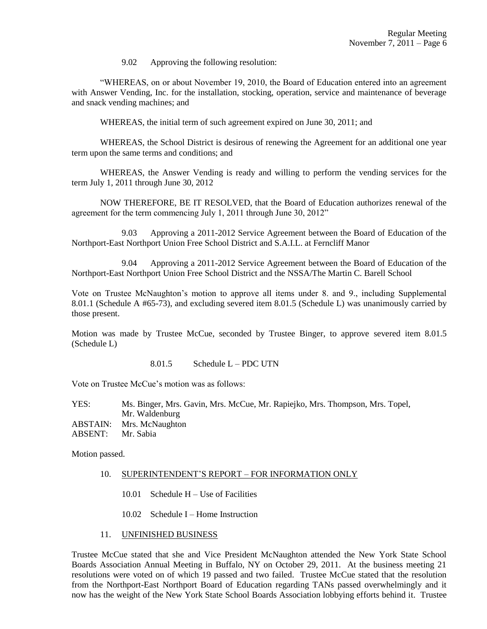9.02 Approving the following resolution:

"WHEREAS, on or about November 19, 2010, the Board of Education entered into an agreement with Answer Vending, Inc. for the installation, stocking, operation, service and maintenance of beverage and snack vending machines; and

WHEREAS, the initial term of such agreement expired on June 30, 2011; and

WHEREAS, the School District is desirous of renewing the Agreement for an additional one year term upon the same terms and conditions; and

WHEREAS, the Answer Vending is ready and willing to perform the vending services for the term July 1, 2011 through June 30, 2012

NOW THEREFORE, BE IT RESOLVED, that the Board of Education authorizes renewal of the agreement for the term commencing July 1, 2011 through June 30, 2012"

9.03 Approving a 2011-2012 Service Agreement between the Board of Education of the Northport-East Northport Union Free School District and S.A.I.L. at Ferncliff Manor

9.04 Approving a 2011-2012 Service Agreement between the Board of Education of the Northport-East Northport Union Free School District and the NSSA/The Martin C. Barell School

Vote on Trustee McNaughton's motion to approve all items under 8. and 9., including Supplemental 8.01.1 (Schedule A #65-73), and excluding severed item 8.01.5 (Schedule L) was unanimously carried by those present.

Motion was made by Trustee McCue, seconded by Trustee Binger, to approve severed item 8.01.5 (Schedule L)

8.01.5 Schedule L – PDC UTN

Vote on Trustee McCue's motion was as follows:

YES: Ms. Binger, Mrs. Gavin, Mrs. McCue, Mr. Rapiejko, Mrs. Thompson, Mrs. Topel, Mr. Waldenburg ABSTAIN: Mrs. McNaughton ABSENT: Mr. Sabia

Motion passed.

- 10. SUPERINTENDENT'S REPORT FOR INFORMATION ONLY
	- 10.01 Schedule H Use of Facilities
	- 10.02 Schedule I Home Instruction
- 11. UNFINISHED BUSINESS

Trustee McCue stated that she and Vice President McNaughton attended the New York State School Boards Association Annual Meeting in Buffalo, NY on October 29, 2011. At the business meeting 21 resolutions were voted on of which 19 passed and two failed. Trustee McCue stated that the resolution from the Northport-East Northport Board of Education regarding TANs passed overwhelmingly and it now has the weight of the New York State School Boards Association lobbying efforts behind it. Trustee